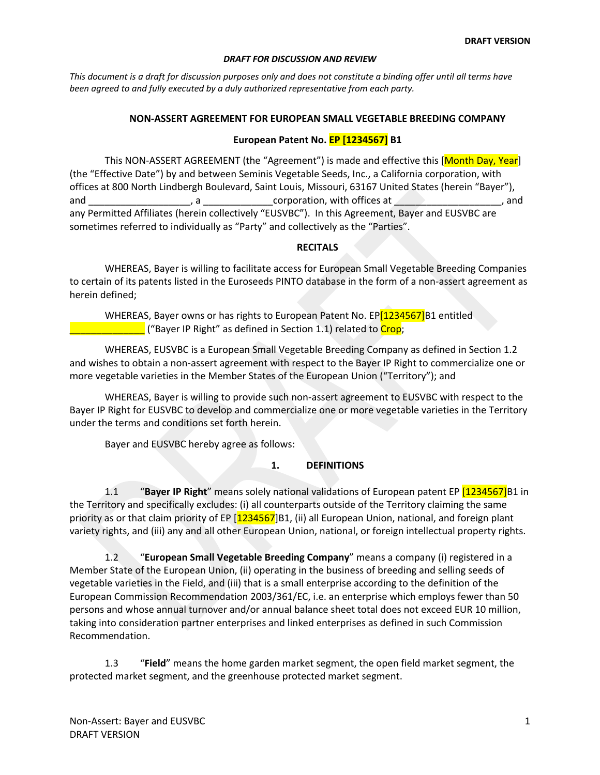*This document is a draft for discussion purposes only and does not constitute a binding offer until all terms have been agreed to and fully executed by a duly authorized representative from each party.*

## **NON-ASSERT AGREEMENT FOR EUROPEAN SMALL VEGETABLE BREEDING COMPANY**

# **European Patent No. EP [1234567] B1**

This NON-ASSERT AGREEMENT (the "Agreement") is made and effective this [Month Day, Year] (the "Effective Date") by and between Seminis Vegetable Seeds, Inc., a California corporation, with offices at 800 North Lindbergh Boulevard, Saint Louis, Missouri, 63167 United States (herein "Bayer"), and and the corporation, with offices at  $\Box$  and  $\Box$  and any Permitted Affiliates (herein collectively "EUSVBC"). In this Agreement, Bayer and EUSVBC are sometimes referred to individually as "Party" and collectively as the "Parties".

# **RECITALS**

WHEREAS, Bayer is willing to facilitate access for European Small Vegetable Breeding Companies to certain of its patents listed in the Euroseeds PINTO database in the form of a non-assert agreement as herein defined;

WHEREAS, Bayer owns or has rights to European Patent No. EP[1234567]B1 entitled **Example 20 Telephanon 1.1** ("Bayer IP Right" as defined in Section 1.1) related to Crop;

WHEREAS, EUSVBC is a European Small Vegetable Breeding Company as defined in Section 1.2 and wishes to obtain a non-assert agreement with respect to the Bayer IP Right to commercialize one or more vegetable varieties in the Member States of the European Union ("Territory"); and

WHEREAS, Bayer is willing to provide such non-assert agreement to EUSVBC with respect to the Bayer IP Right for EUSVBC to develop and commercialize one or more vegetable varieties in the Territory under the terms and conditions set forth herein.

Bayer and EUSVBC hereby agree as follows:

# **1. DEFINITIONS**

1.1 "**Bayer IP Right**" means solely national validations of European patent EP [1234567]B1 in the Territory and specifically excludes: (i) all counterparts outside of the Territory claiming the same priority as or that claim priority of EP [1234567]B1, (ii) all European Union, national, and foreign plant variety rights, and (iii) any and all other European Union, national, or foreign intellectual property rights.

1.2 "**European Small Vegetable Breeding Company**" means a company (i) registered in a Member State of the European Union, (ii) operating in the business of breeding and selling seeds of vegetable varieties in the Field, and (iii) that is a small enterprise according to the definition of the European Commission Recommendation 2003/361/EC, i.e. an enterprise which employs fewer than 50 persons and whose annual turnover and/or annual balance sheet total does not exceed EUR 10 million, taking into consideration partner enterprises and linked enterprises as defined in such Commission Recommendation.

1.3 "**Field**" means the home garden market segment, the open field market segment, the protected market segment, and the greenhouse protected market segment.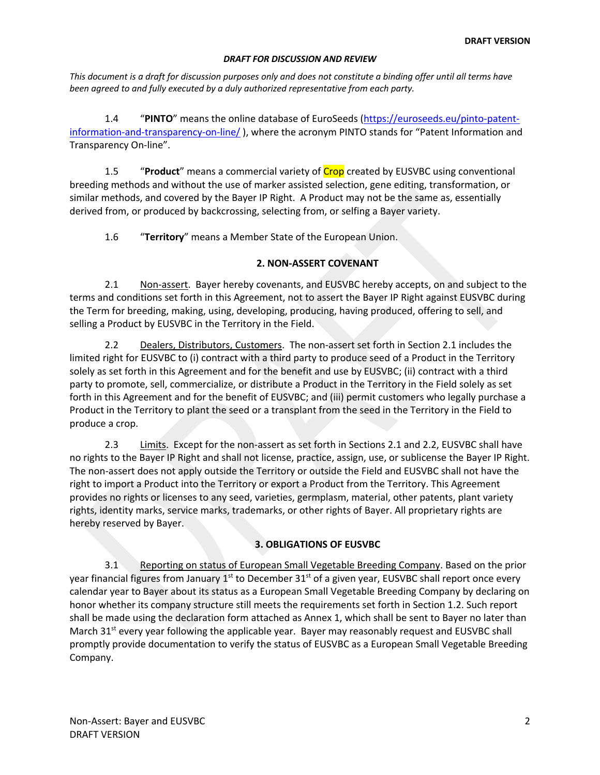*This document is a draft for discussion purposes only and does not constitute a binding offer until all terms have been agreed to and fully executed by a duly authorized representative from each party.*

1.4 "**PINTO**" means the online database of EuroSeeds (https://euroseeds.eu/pinto-patentinformation-and-transparency-on-line/), where the acronym PINTO stands for "Patent Information and Transparency On-line".

1.5 "**Product**" means a commercial variety of Crop created by EUSVBC using conventional breeding methods and without the use of marker assisted selection, gene editing, transformation, or similar methods, and covered by the Bayer IP Right. A Product may not be the same as, essentially derived from, or produced by backcrossing, selecting from, or selfing a Bayer variety.

1.6 "**Territory**" means a Member State of the European Union.

# **2. NON-ASSERT COVENANT**

2.1 Non-assert. Bayer hereby covenants, and EUSVBC hereby accepts, on and subject to the terms and conditions set forth in this Agreement, not to assert the Bayer IP Right against EUSVBC during the Term for breeding, making, using, developing, producing, having produced, offering to sell, and selling a Product by EUSVBC in the Territory in the Field.

2.2 Dealers, Distributors, Customers. The non-assert set forth in Section 2.1 includes the limited right for EUSVBC to (i) contract with a third party to produce seed of a Product in the Territory solely as set forth in this Agreement and for the benefit and use by EUSVBC; (ii) contract with a third party to promote, sell, commercialize, or distribute a Product in the Territory in the Field solely as set forth in this Agreement and for the benefit of EUSVBC; and (iii) permit customers who legally purchase a Product in the Territory to plant the seed or a transplant from the seed in the Territory in the Field to produce a crop.

2.3 Limits. Except for the non-assert as set forth in Sections 2.1 and 2.2, EUSVBC shall have no rights to the Bayer IP Right and shall not license, practice, assign, use, or sublicense the Bayer IP Right. The non-assert does not apply outside the Territory or outside the Field and EUSVBC shall not have the right to import a Product into the Territory or export a Product from the Territory. This Agreement provides no rights or licenses to any seed, varieties, germplasm, material, other patents, plant variety rights, identity marks, service marks, trademarks, or other rights of Bayer. All proprietary rights are hereby reserved by Bayer.

# **3. OBLIGATIONS OF EUSVBC**

3.1 Reporting on status of European Small Vegetable Breeding Company. Based on the prior year financial figures from January  $1<sup>st</sup>$  to December 31 $<sup>st</sup>$  of a given year, EUSVBC shall report once every</sup> calendar year to Bayer about its status as a European Small Vegetable Breeding Company by declaring on honor whether its company structure still meets the requirements set forth in Section 1.2. Such report shall be made using the declaration form attached as Annex 1, which shall be sent to Bayer no later than March 31 $<sup>st</sup>$  every year following the applicable year. Bayer may reasonably request and EUSVBC shall</sup> promptly provide documentation to verify the status of EUSVBC as a European Small Vegetable Breeding Company.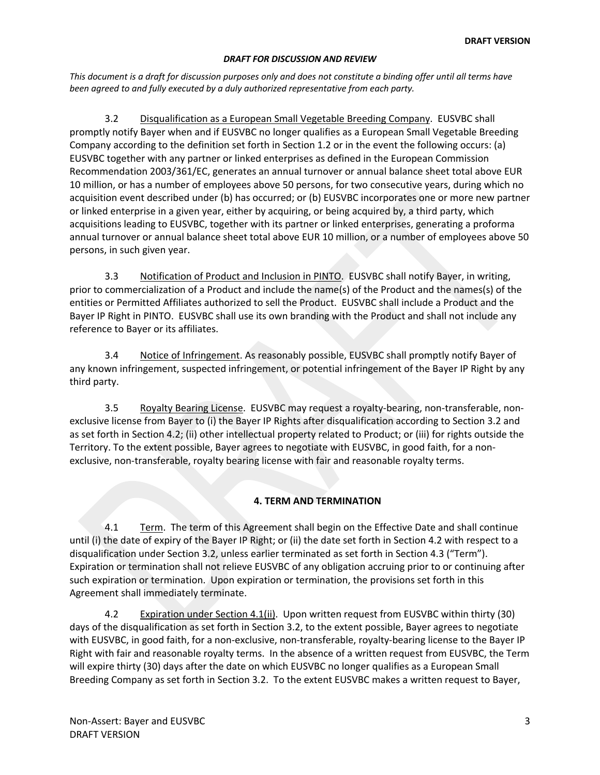*This document is a draft for discussion purposes only and does not constitute a binding offer until all terms have been agreed to and fully executed by a duly authorized representative from each party.*

3.2 Disqualification as a European Small Vegetable Breeding Company. EUSVBC shall promptly notify Bayer when and if EUSVBC no longer qualifies as a European Small Vegetable Breeding Company according to the definition set forth in Section 1.2 or in the event the following occurs: (a) EUSVBC together with any partner or linked enterprises as defined in the European Commission Recommendation 2003/361/EC, generates an annual turnover or annual balance sheet total above EUR 10 million, or has a number of employees above 50 persons, for two consecutive years, during which no acquisition event described under (b) has occurred; or (b) EUSVBC incorporates one or more new partner or linked enterprise in a given year, either by acquiring, or being acquired by, a third party, which acquisitions leading to EUSVBC, together with its partner or linked enterprises, generating a proforma annual turnover or annual balance sheet total above EUR 10 million, or a number of employees above 50 persons, in such given year.

3.3 Notification of Product and Inclusion in PINTO. EUSVBC shall notify Bayer, in writing, prior to commercialization of a Product and include the name(s) of the Product and the names(s) of the entities or Permitted Affiliates authorized to sell the Product. EUSVBC shall include a Product and the Bayer IP Right in PINTO. EUSVBC shall use its own branding with the Product and shall not include any reference to Bayer or its affiliates.

3.4 Notice of Infringement. As reasonably possible, EUSVBC shall promptly notify Bayer of any known infringement, suspected infringement, or potential infringement of the Bayer IP Right by any third party.

3.5 Royalty Bearing License. EUSVBC may request a royalty-bearing, non-transferable, nonexclusive license from Bayer to (i) the Bayer IP Rights after disqualification according to Section 3.2 and as set forth in Section 4.2; (ii) other intellectual property related to Product; or (iii) for rights outside the Territory. To the extent possible, Bayer agrees to negotiate with EUSVBC, in good faith, for a nonexclusive, non-transferable, royalty bearing license with fair and reasonable royalty terms.

# **4. TERM AND TERMINATION**

4.1 Term. The term of this Agreement shall begin on the Effective Date and shall continue until (i) the date of expiry of the Bayer IP Right; or (ii) the date set forth in Section 4.2 with respect to a disqualification under Section 3.2, unless earlier terminated as set forth in Section 4.3 ("Term"). Expiration or termination shall not relieve EUSVBC of any obligation accruing prior to or continuing after such expiration or termination. Upon expiration or termination, the provisions set forth in this Agreement shall immediately terminate.

4.2 Expiration under Section 4.1(ii). Upon written request from EUSVBC within thirty (30) days of the disqualification as set forth in Section 3.2, to the extent possible, Bayer agrees to negotiate with EUSVBC, in good faith, for a non-exclusive, non-transferable, royalty-bearing license to the Bayer IP Right with fair and reasonable royalty terms. In the absence of a written request from EUSVBC, the Term will expire thirty (30) days after the date on which EUSVBC no longer qualifies as a European Small Breeding Company as set forth in Section 3.2. To the extent EUSVBC makes a written request to Bayer,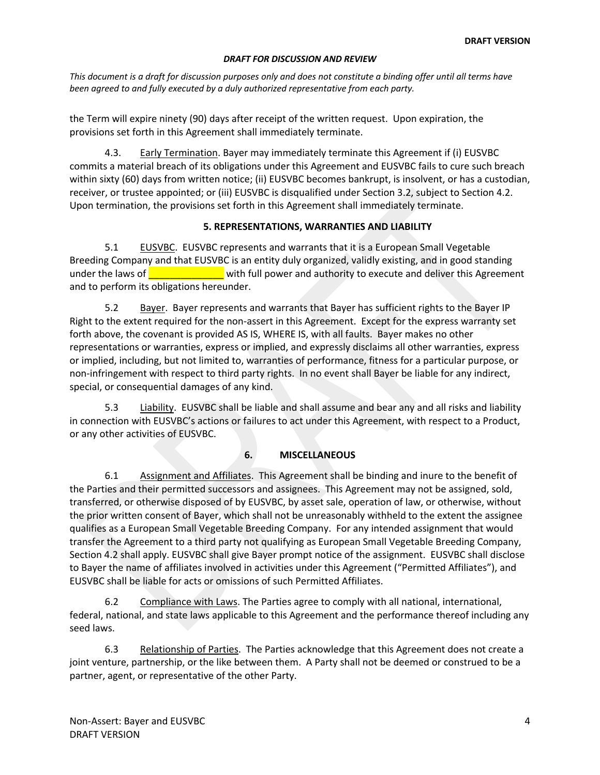*This document is a draft for discussion purposes only and does not constitute a binding offer until all terms have been agreed to and fully executed by a duly authorized representative from each party.*

the Term will expire ninety (90) days after receipt of the written request. Upon expiration, the provisions set forth in this Agreement shall immediately terminate.

4.3. Early Termination. Bayer may immediately terminate this Agreement if (i) EUSVBC commits a material breach of its obligations under this Agreement and EUSVBC fails to cure such breach within sixty (60) days from written notice; (ii) EUSVBC becomes bankrupt, is insolvent, or has a custodian, receiver, or trustee appointed; or (iii) EUSVBC is disqualified under Section 3.2, subject to Section 4.2. Upon termination, the provisions set forth in this Agreement shall immediately terminate.

# **5. REPRESENTATIONS, WARRANTIES AND LIABILITY**

5.1 EUSVBC. EUSVBC represents and warrants that it is a European Small Vegetable Breeding Company and that EUSVBC is an entity duly organized, validly existing, and in good standing under the laws of **with the laws** with full power and authority to execute and deliver this Agreement and to perform its obligations hereunder.

5.2 Bayer. Bayer represents and warrants that Bayer has sufficient rights to the Bayer IP Right to the extent required for the non-assert in this Agreement. Except for the express warranty set forth above, the covenant is provided AS IS, WHERE IS, with all faults. Bayer makes no other representations or warranties, express or implied, and expressly disclaims all other warranties, express or implied, including, but not limited to, warranties of performance, fitness for a particular purpose, or non-infringement with respect to third party rights. In no event shall Bayer be liable for any indirect, special, or consequential damages of any kind.

5.3 Liability. EUSVBC shall be liable and shall assume and bear any and all risks and liability in connection with EUSVBC's actions or failures to act under this Agreement, with respect to a Product, or any other activities of EUSVBC.

# **6. MISCELLANEOUS**

6.1 Assignment and Affiliates. This Agreement shall be binding and inure to the benefit of the Parties and their permitted successors and assignees. This Agreement may not be assigned, sold, transferred, or otherwise disposed of by EUSVBC, by asset sale, operation of law, or otherwise, without the prior written consent of Bayer, which shall not be unreasonably withheld to the extent the assignee qualifies as a European Small Vegetable Breeding Company. For any intended assignment that would transfer the Agreement to a third party not qualifying as European Small Vegetable Breeding Company, Section 4.2 shall apply. EUSVBC shall give Bayer prompt notice of the assignment. EUSVBC shall disclose to Bayer the name of affiliates involved in activities under this Agreement ("Permitted Affiliates"), and EUSVBC shall be liable for acts or omissions of such Permitted Affiliates.

6.2 Compliance with Laws. The Parties agree to comply with all national, international, federal, national, and state laws applicable to this Agreement and the performance thereof including any seed laws.

6.3 Relationship of Parties. The Parties acknowledge that this Agreement does not create a joint venture, partnership, or the like between them. A Party shall not be deemed or construed to be a partner, agent, or representative of the other Party.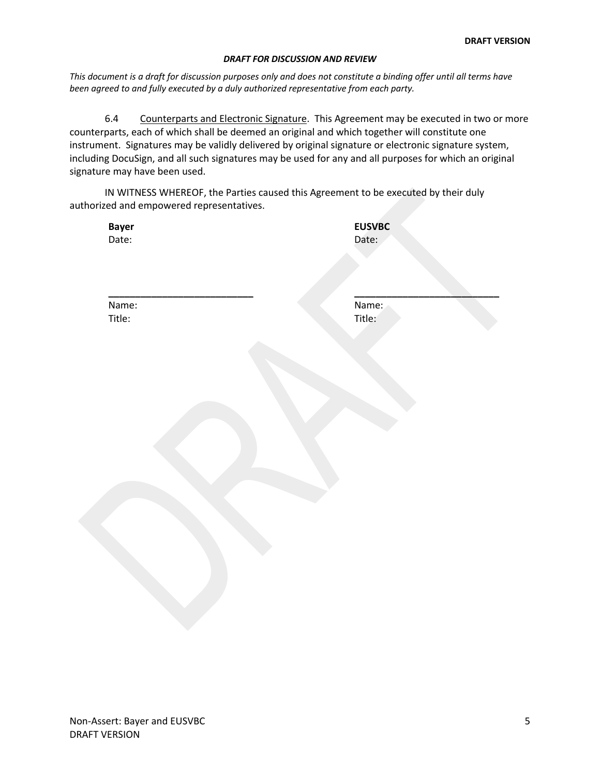*This document is a draft for discussion purposes only and does not constitute a binding offer until all terms have been agreed to and fully executed by a duly authorized representative from each party.*

6.4 Counterparts and Electronic Signature. This Agreement may be executed in two or more counterparts, each of which shall be deemed an original and which together will constitute one instrument. Signatures may be validly delivered by original signature or electronic signature system, including DocuSign, and all such signatures may be used for any and all purposes for which an original signature may have been used.

IN WITNESS WHEREOF, the Parties caused this Agreement to be executed by their duly authorized and empowered representatives.

**Bayer** Date:

**EUSVBC** Date:

Name: Title:

**\_\_\_\_\_\_\_\_\_\_\_\_\_\_\_\_\_\_\_\_\_\_\_\_\_\_\_**

**\_\_\_\_\_\_\_\_\_\_\_\_\_\_\_\_\_\_\_\_\_\_\_\_\_\_\_** Name: Title: